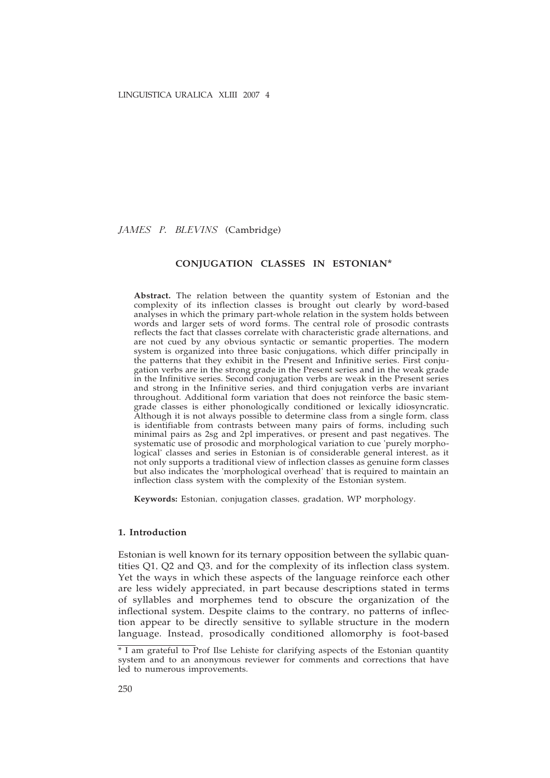*JAMES P. BLEVINS* (Cambridge)

## **CONJUGATION CLASSES IN ESTONIAN\***

**Abstract.** The relation between the quantity system of Estonian and the complexity of its inflection classes is brought out clearly by word-based analyses in which the primary part-whole relation in the system holds between words and larger sets of word forms. The central role of prosodic contrasts reflects the fact that classes correlate with characteristic grade alternations, and are not cued by any obvious syntactic or semantic properties. The modern system is organized into three basic conjugations, which differ principally in the patterns that they exhibit in the Present and Infinitive series. First conjugation verbs are in the strong grade in the Present series and in the weak grade in the Infinitive series. Second conjugation verbs are weak in the Present series and strong in the Infinitive series, and third conjugation verbs are invariant throughout. Additional form variation that does not reinforce the basic stemgrade classes is either phonologically conditioned or lexically idiosyncratic. Although it is not always possible to determine class from a single form, class is identifiable from contrasts between many pairs of forms, including such minimal pairs as 2sg and 2pl imperatives, or present and past negatives. The systematic use of prosodic and morphological variation to cue 'purely morphological' classes and series in Estonian is of considerable general interest, as it not only supports a traditional view of inflection classes as genuine form classes but also indicates the 'morphological overhead' that is required to maintain an inflection class system with the complexity of the Estonian system.

**Keywords:** Estonian, conjugation classes, gradation, WP morphology.

# **1. Introduction**

Estonian is well known for its ternary opposition between the syllabic quantities Q1, Q2 and Q3, and for the complexity of its inflection class system. Yet the ways in which these aspects of the language reinforce each other are less widely appreciated, in part because descriptions stated in terms of syllables and morphemes tend to obscure the organization of the inflectional system. Despite claims to the contrary, no patterns of inflection appear to be directly sensitive to syllable structure in the modern language. Instead, prosodically conditioned allomorphy is foot-based

<sup>\*</sup> I am grateful to Prof Ilse Lehiste for clarifying aspects of the Estonian quantity system and to an anonymous reviewer for comments and corrections that have led to numerous improvements.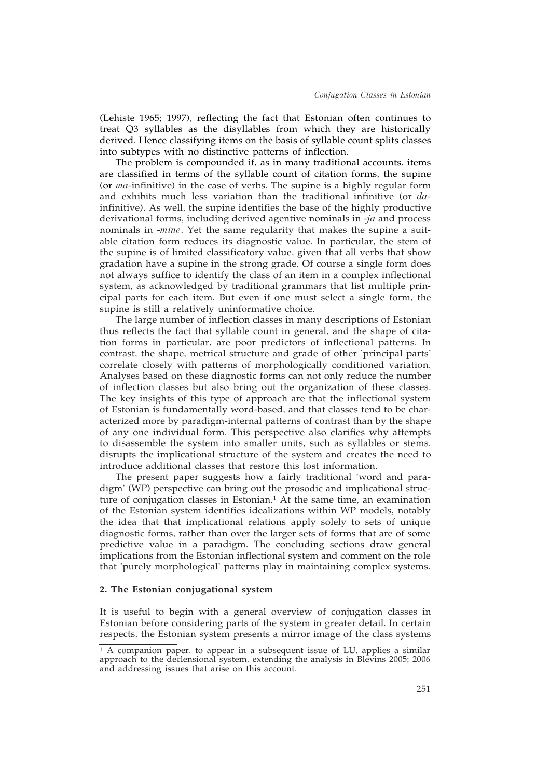(Lehiste 1965; 1997), reflecting the fact that Estonian often continues to treat Q3 syllables as the disyllables from which they are historically derived. Hence classifying items on the basis of syllable count splits classes into subtypes with no distinctive patterns of inflection.

The problem is compounded if, as in many traditional accounts, items are classified in terms of the syllable count of citation forms, the supine (or *ma*-infinitive) in the case of verbs. The supine is a highly regular form and exhibits much less variation than the traditional infinitive (or *da*infinitive). As well, the supine identifies the base of the highly productive derivational forms, including derived agentive nominals in -*ja* and process nominals in -*mine*. Yet the same regularity that makes the supine a suitable citation form reduces its diagnostic value. In particular, the stem of the supine is of limited classificatory value, given that all verbs that show gradation have a supine in the strong grade. Of course a single form does not always suffice to identify the class of an item in a complex inflectional system, as acknowledged by traditional grammars that list multiple principal parts for each item. But even if one must select a single form, the supine is still a relatively uninformative choice.

The large number of inflection classes in many descriptions of Estonian thus reflects the fact that syllable count in general, and the shape of citation forms in particular, are poor predictors of inflectional patterns. In contrast, the shape, metrical structure and grade of other 'principal parts' correlate closely with patterns of morphologically conditioned variation. Analyses based on these diagnostic forms can not only reduce the number of inflection classes but also bring out the organization of these classes. The key insights of this type of approach are that the inflectional system of Estonian is fundamentally word-based, and that classes tend to be characterized more by paradigm-internal patterns of contrast than by the shape of any one individual form. This perspective also clarifies why attempts to disassemble the system into smaller units, such as syllables or stems, disrupts the implicational structure of the system and creates the need to introduce additional classes that restore this lost information.

The present paper suggests how a fairly traditional 'word and paradigm' (WP) perspective can bring out the prosodic and implicational structure of conjugation classes in Estonian.<sup>1</sup> At the same time, an examination of the Estonian system identifies idealizations within WP models, notably the idea that that implicational relations apply solely to sets of unique diagnostic forms, rather than over the larger sets of forms that are of some predictive value in a paradigm. The concluding sections draw general implications from the Estonian inflectional system and comment on the role that 'purely morphological' patterns play in maintaining complex systems.

## **2. The Estonian conjugational system**

It is useful to begin with a general overview of conjugation classes in Estonian before considering parts of the system in greater detail. In certain respects, the Estonian system presents a mirror image of the class systems

<sup>1</sup> A companion paper, to appear in a subsequent issue of LU, applies a similar approach to the declensional system, extending the analysis in Blevins 2005; 2006 and addressing issues that arise on this account.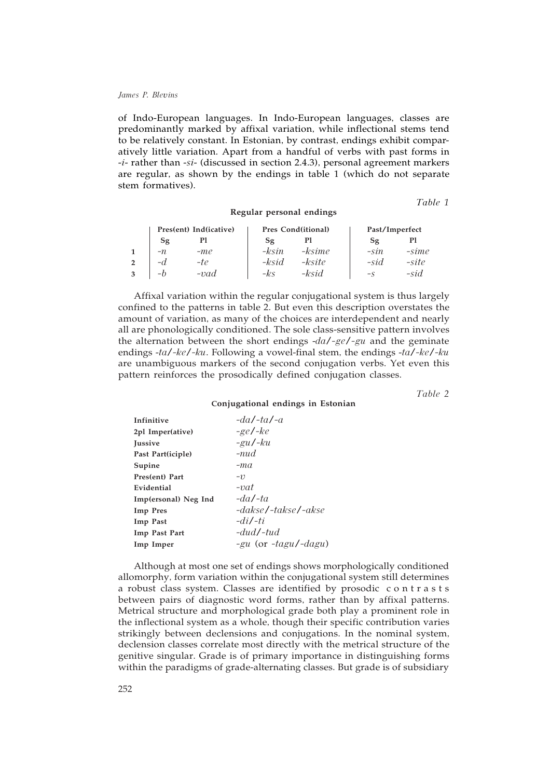of Indo-European languages. In Indo-European languages, classes are predominantly marked by affixal variation, while inflectional stems tend to be relatively constant. In Estonian, by contrast, endings exhibit comparatively little variation. Apart from a handful of verbs with past forms in -*i*- rather than -*si*- (discussed in section 2.4.3), personal agreement markers are regular, as shown by the endings in table 1 (which do not separate stem formatives).

**Regular personal endings**

*Table 1*

| Pres(ent) Ind(icative) |        |         | Pres Cond(itional) | Past/Imperfect |         |
|------------------------|--------|---------|--------------------|----------------|---------|
| Sg                     | Pl     | Sg      |                    | Sg             | Рl      |
| $-n$                   | $-m$ e | $-ksin$ | -ksime             | $-sin$         | $-sime$ |
| $-d$                   | -te    | -ksid   | -ksite             | $-sid$         | -site   |
| $-h$                   | $-vad$ | -ks     | -ksid              | $-S$           | $-sid$  |

Affixal variation within the regular conjugational system is thus largely confined to the patterns in table 2. But even this description overstates the amount of variation, as many of the choices are interdependent and nearly all are phonologically conditioned. The sole class-sensitive pattern involves the alternation between the short endings -*da*/*-ge*/*-gu* and the geminate endings -*ta*/*-ke*/*-ku*. Following a vowel-final stem, the endings -*ta*/*-ke*/*-ku* are unambiguous markers of the second conjugation verbs. Yet even this pattern reinforces the prosodically defined conjugation classes.

*Table 2*

#### **Conjugational endings in Estonian**

| Infinitive           | $-da/ta/a$                |
|----------------------|---------------------------|
| 2pl Imper(ative)     | $-ge/-ke$                 |
| <b>Iussive</b>       | $-gu$ /- $ku$             |
| Past Part(iciple)    | $-nud$                    |
| Supine               | $-ma$                     |
| Pres(ent) Part       | -11                       |
| Evidential           | $-i\alpha t$              |
| Imp(ersonal) Neg Ind | $-da/ta$                  |
| <b>Imp</b> Pres      | -dakse/-takse/-akse       |
| Imp Past             | $-di/t$                   |
| Imp Past Part        | $-dud/$ -tud              |
| Imp Imper            | $-gu$ (or $-tagu$ /-dagu) |

Although at most one set of endings shows morphologically conditioned allomorphy, form variation within the conjugational system still determines a robust class system. Classes are identified by prosodic contrasts between pairs of diagnostic word forms, rather than by affixal patterns. Metrical structure and morphological grade both play a prominent role in the inflectional system as a whole, though their specific contribution varies strikingly between declensions and conjugations. In the nominal system, declension classes correlate most directly with the metrical structure of the genitive singular. Grade is of primary importance in distinguishing forms within the paradigms of grade-alternating classes. But grade is of subsidiary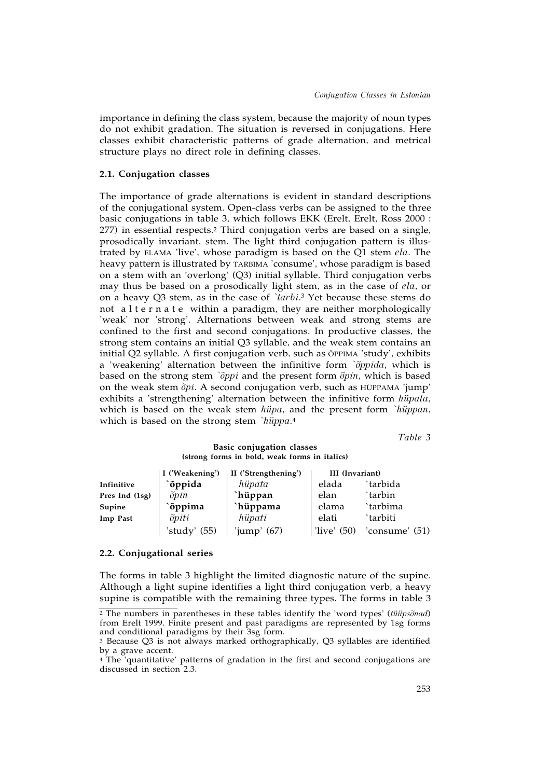importance in defining the class system, because the majority of noun types do not exhibit gradation. The situation is reversed in conjugations. Here classes exhibit characteristic patterns of grade alternation, and metrical structure plays no direct role in defining classes.

#### **2.1. Conjugation classes**

The importance of grade alternations is evident in standard descriptions of the conjugational system. Open-class verbs can be assigned to the three basic conjugations in table 3, which follows EKK (Erelt, Erelt, Ross 2000 : 277) in essential respects.2 Third conjugation verbs are based on a single, prosodically invariant, stem. The light third conjugation pattern is illustrated by ELAMA 'live', whose paradigm is based on the Q1 stem *ela*. The heavy pattern is illustrated by TARBIMA 'consume', whose paradigm is based on a stem with an 'overlong' (Q3) initial syllable. Third conjugation verbs may thus be based on a prosodically light stem, as in the case of *ela*, or on a heavy Q3 stem, as in the case of *`tarbi*. <sup>3</sup> Yet because these stems do not alternate within a paradigm, they are neither morphologically 'weak' nor 'strong'. Alternations between weak and strong stems are confined to the first and second conjugations. In productive classes, the strong stem contains an initial Q3 syllable, and the weak stem contains an initial Q2 syllable. A first conjugation verb, such as ÕPPIMA 'study', exhibits a 'weakening' alternation between the infinitive form *`õppida*, which is based on the strong stem *`õppi* and the present form *õpin*, which is based on the weak stem *õpi*. A second conjugation verb, such as HÜPPAMA 'jump' exhibits a 'strengthening' alternation between the infinitive form *hüpata*, which is based on the weak stem *hüpa*, and the present form *`hüppan*, which is based on the strong stem *`hüppa*.4

*Table 3*

## **Basic conjugation classes (strong forms in bold, weak forms in italics)**

|                | I ('Weakening') | II ('Strengthening') | III (Invariant) |                  |
|----------------|-----------------|----------------------|-----------------|------------------|
| Infinitive     | `õppida         | hiipata              | elada           | `tarbida         |
| Pres Ind (1sg) | $\tilde{p}$     | `hüppan              | elan            | `tarbin          |
| Supine         | `õppima         | `hüppama             | elama           | `tarbima         |
| Imp Past       | $\tilde{p}$ iti | hiipati              | elati           | `tarbiti         |
|                | 'study'<br>(55) | 'jump' $(67)$        | 'live' $(50)$   | 'consume' $(51)$ |

#### **2.2. Conjugational series**

The forms in table 3 highlight the limited diagnostic nature of the supine. Although a light supine identifies a light third conjugation verb, a heavy supine is compatible with the remaining three types. The forms in table 3

<sup>2</sup> The numbers in parentheses in these tables identify the 'word types' (*tüüpsõnad*) from Erelt 1999. Finite present and past paradigms are represented by 1sg forms and conditional paradigms by their 3sg form.

<sup>3</sup> Because Q3 is not always marked orthographically, Q3 syllables are identified by a grave accent.

<sup>4</sup> The 'quantitative' patterns of gradation in the first and second conjugations are discussed in section 2.3.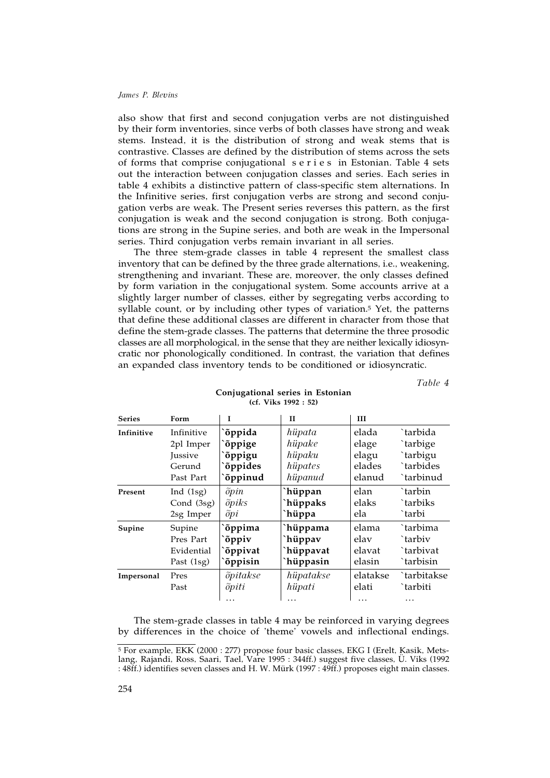also show that first and second conjugation verbs are not distinguished by their form inventories, since verbs of both classes have strong and weak stems. Instead, it is the distribution of strong and weak stems that is contrastive. Classes are defined by the distribution of stems across the sets of forms that comprise conjugational s e r i e s in Estonian. Table 4 sets out the interaction between conjugation classes and series. Each series in table 4 exhibits a distinctive pattern of class-specific stem alternations. In the Infinitive series, first conjugation verbs are strong and second conjugation verbs are weak. The Present series reverses this pattern, as the first conjugation is weak and the second conjugation is strong. Both conjugations are strong in the Supine series, and both are weak in the Impersonal series. Third conjugation verbs remain invariant in all series.

The three stem-grade classes in table 4 represent the smallest class inventory that can be defined by the three grade alternations, i.e., weakening, strengthening and invariant. These are, moreover, the only classes defined by form variation in the conjugational system. Some accounts arrive at a slightly larger number of classes, either by segregating verbs according to syllable count, or by including other types of variation.5 Yet, the patterns that define these additional classes are different in character from those that define the stem-grade classes. The patterns that determine the three prosodic classes are all morphological, in the sense that they are neither lexically idiosyncratic nor phonologically conditioned. In contrast, the variation that defines an expanded class inventory tends to be conditioned or idiosyncratic.

*Table 4*

| <b>Series</b> | Form        | Ī               | $\mathbf{H}$ | Ш        |             |
|---------------|-------------|-----------------|--------------|----------|-------------|
| Infinitive    | Infinitive  | õppida          | hiipata      | elada    | `tarbida    |
|               | 2pl Imper   | `õppige         | hüpake       | elage    | `tarbige    |
|               | Jussive     | õppigu          | hüpaku       | elagu    | `tarbigu    |
|               | Gerund      | <b>õppides</b>  | hüpates      | elades   | `tarbides   |
|               | Past Part   | `õppinud        | hüpanud      | elanud   | `tarbinud   |
| Present       | Ind $(1sg)$ | $\tilde{p}$     | `hüppan      | elan     | `tarbin     |
|               | Cond (3sg)  | õpiks           | `hüppaks     | elaks    | `tarbiks    |
|               | 2sg Imper   | $\tilde{p}$     | `hüppa       | ela      | `tarbi      |
| Supine        | Supine      | `õppima         | `hüppama     | elama    | `tarbima    |
|               | Pres Part   | õppiv           | `hüppav      | elav     | `tarbiv     |
|               | Evidential  | õppivat         | `hüppavat    | elavat   | `tarbivat   |
|               | Past (1sg)  | õppisin         | `hüppasin    | elasin   | `tarbisin   |
| Impersonal    | Pres        | õpitakse        | hüpatakse    | elatakse | `tarbitakse |
|               | Past        | $\tilde{p}$ iti | hiipati      | elati    | `tarbiti    |
|               |             |                 |              |          | .           |

### **Conjugational series in Estonian (cf. Viks 1992 : 52)**

The stem-grade classes in table 4 may be reinforced in varying degrees by differences in the choice of 'theme' vowels and inflectional endings.

<sup>5</sup> For example, EKK (2000 : 277) propose four basic classes, EKG I (Erelt, Kasik, Metslang, Rajandi, Ross, Saari, Tael, Vare 1995 : 344ff.) suggest five classes, Ü. Viks (1992 : 48ff.) identifies seven classes and H. W. Mürk (1997 : 49ff.) proposes eight main classes.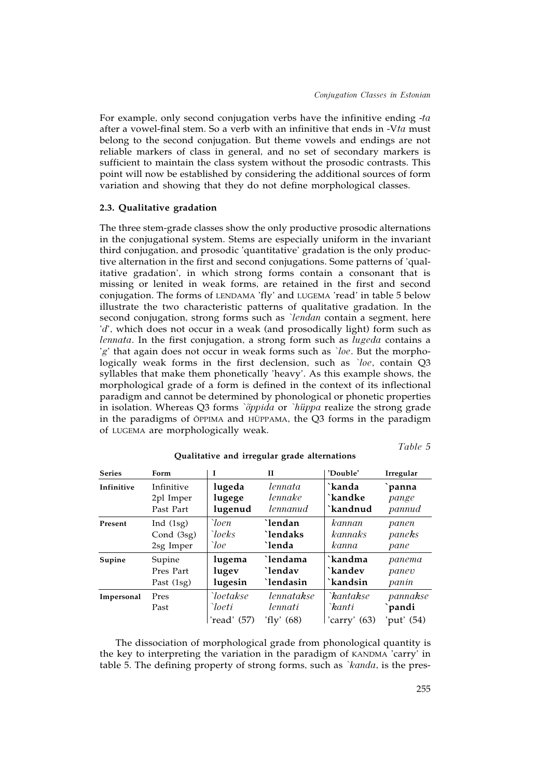For example, only second conjugation verbs have the infinitive ending -*ta* after a vowel-final stem. So a verb with an infinitive that ends in -V*ta* must belong to the second conjugation. But theme vowels and endings are not reliable markers of class in general, and no set of secondary markers is sufficient to maintain the class system without the prosodic contrasts. This point will now be established by considering the additional sources of form variation and showing that they do not define morphological classes.

# **2.3. Qualitative gradation**

The three stem-grade classes show the only productive prosodic alternations in the conjugational system. Stems are especially uniform in the invariant third conjugation, and prosodic 'quantitative' gradation is the only productive alternation in the first and second conjugations. Some patterns of 'qualitative gradation', in which strong forms contain a consonant that is missing or lenited in weak forms, are retained in the first and second conjugation. The forms of LENDAMA 'fly' and LUGEMA 'read' in table 5 below illustrate the two characteristic patterns of qualitative gradation. In the second conjugation, strong forms such as *`lendan* contain a segment, here '*d*', which does not occur in a weak (and prosodically light) form such as *lennata*. In the first conjugation, a strong form such as *lugeda* contains a '*g*' that again does not occur in weak forms such as *`loe*. But the morphologically weak forms in the first declension, such as *`loe*, contain Q3 syllables that make them phonetically 'heavy'. As this example shows, the morphological grade of a form is defined in the context of its inflectional paradigm and cannot be determined by phonological or phonetic properties in isolation. Whereas Q3 forms *`õppida* or *`hüppa* realize the strong grade in the paradigms of ÕPPIMA and HÜPPAMA, the Q3 forms in the paradigm of LUGEMA are morphologically weak.

*Table 5*

| <b>Series</b> | Form         | L                                    | $\mathbf{I}$                          | 'Double'                              | Irregular                        |
|---------------|--------------|--------------------------------------|---------------------------------------|---------------------------------------|----------------------------------|
| Infinitive    | Infinitive   | lugeda                               | lennata                               | `kanda                                | panna                            |
|               | 2pl Imper    | lugege                               | lennake                               | `kandke                               | pange                            |
|               | Past Part    | lugenud                              | lennanud                              | `kandnud                              | pannud                           |
| Present       | Ind $(1sg)$  | `loen                                | `lendan                               | kannan                                | panen                            |
|               | Cond (3sg)   | `loeks                               | `lendaks                              | kannaks                               | paneks                           |
|               | 2sg Imper    | `loe                                 | `lenda                                | kanna                                 | pane                             |
| Supine        | Supine       | lugema                               | `lendama                              | `kandma                               | panema                           |
|               | Pres Part    | lugev                                | `lendav                               | `kandev                               | panev                            |
|               | Past (1sg)   | lugesin                              | `lendasin                             | `kandsin                              | panin                            |
| Impersonal    | Pres<br>Past | `loetakse<br>`loeti<br>'read' $(57)$ | lennatakse<br>lennati<br>'fly' $(68)$ | `kantakse<br>`kanti<br>'carry' $(63)$ | pannakse<br>`pandi<br>'put' (54) |

**Qualitative and irregular grade alternations**

The dissociation of morphological grade from phonological quantity is the key to interpreting the variation in the paradigm of KANDMA 'carry' in table 5. The defining property of strong forms, such as *`kanda*, is the pres-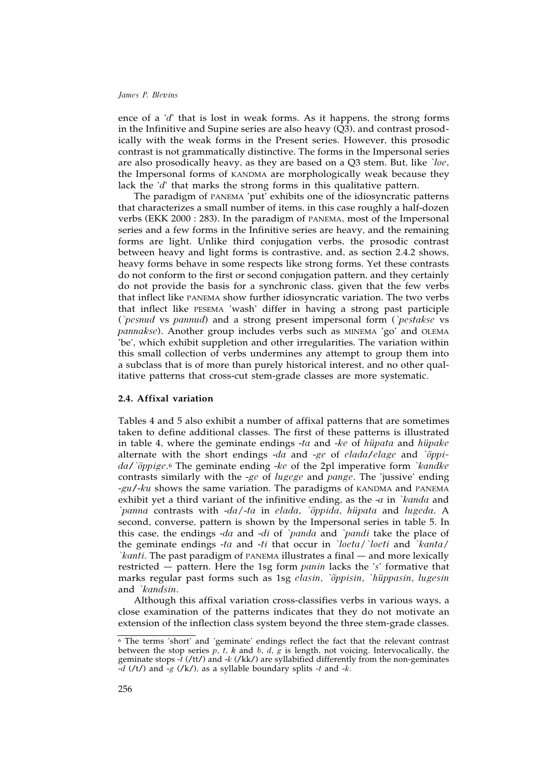ence of a '*d*' that is lost in weak forms. As it happens, the strong forms in the Infinitive and Supine series are also heavy (Q3), and contrast prosodically with the weak forms in the Present series. However, this prosodic contrast is not grammatically distinctive. The forms in the Impersonal series are also prosodically heavy, as they are based on a Q3 stem. But, like *`loe*, the Impersonal forms of KANDMA are morphologically weak because they lack the '*d*' that marks the strong forms in this qualitative pattern.

The paradigm of PANEMA 'put' exhibits one of the idiosyncratic patterns that characterizes a small number of items, in this case roughly a half-dozen verbs (EKK 2000 : 283). In the paradigm of PANEMA, most of the Impersonal series and a few forms in the Infinitive series are heavy, and the remaining forms are light. Unlike third conjugation verbs, the prosodic contrast between heavy and light forms is contrastive, and, as section 2.4.2 shows, heavy forms behave in some respects like strong forms. Yet these contrasts do not conform to the first or second conjugation pattern, and they certainly do not provide the basis for a synchronic class, given that the few verbs that inflect like PANEMA show further idiosyncratic variation. The two verbs that inflect like PESEMA 'wash' differ in having a strong past participle (*`pesnud* vs *pannud*) and a strong present impersonal form (*`pestakse* vs *pannakse*). Another group includes verbs such as MINEMA 'go' and OLEMA 'be', which exhibit suppletion and other irregularities. The variation within this small collection of verbs undermines any attempt to group them into a subclass that is of more than purely historical interest, and no other qualitative patterns that cross-cut stem-grade classes are more systematic.

### **2.4. Affixal variation**

Tables 4 and 5 also exhibit a number of affixal patterns that are sometimes taken to define additional classes. The first of these patterns is illustrated in table 4, where the geminate endings -*ta* and -*ke* of *hüpata* and *hüpake* alternate with the short endings -*da* and -*ge* of *elada*/*elage* and *`õppida*/*`õppige*.6 The geminate ending -*ke* of the 2pl imperative form *`kandke* contrasts similarly with the -*ge* of *lugege* and *pange*. The 'jussive' ending -*gu*/-*ku* shows the same variation. The paradigms of KANDMA and PANEMA exhibit yet a third variant of the infinitive ending, as the -*a* in *`kanda* and *`panna* contrasts with -*da*/-*ta* in *elada*, *`õppida*, *hüpata* and *lugeda*. A second, converse, pattern is shown by the Impersonal series in table 5. In this case, the endings -*da* and -*di* of *`panda* and *`pandi* take the place of the geminate endings -*ta* and -*ti* that occur in *`loeta*/*`loeti* and *`kanta*/ *`kanti*. The past paradigm of PANEMA illustrates a final — and more lexically restricted — pattern. Here the 1sg form *panin* lacks the '*s*' formative that marks regular past forms such as 1sg *elasin*, *`õppisin*, *`hüppasin*, *lugesin* and *`kandsin*.

Although this affixal variation cross-classifies verbs in various ways, a close examination of the patterns indicates that they do not motivate an extension of the inflection class system beyond the three stem-grade classes.

<sup>6</sup> The terms 'short' and 'geminate' endings reflect the fact that the relevant contrast between the stop series *p*, *t*, *k* and *b*, *d*, *g* is length, not voicing. Intervocalically, the geminate stops -*t* (/tt/) and -*k* (/kk/) are syllabified differently from the non-geminates -*d* (/t/) and -*g* (/k/), as a syllable boundary splits -*t* and -*k*.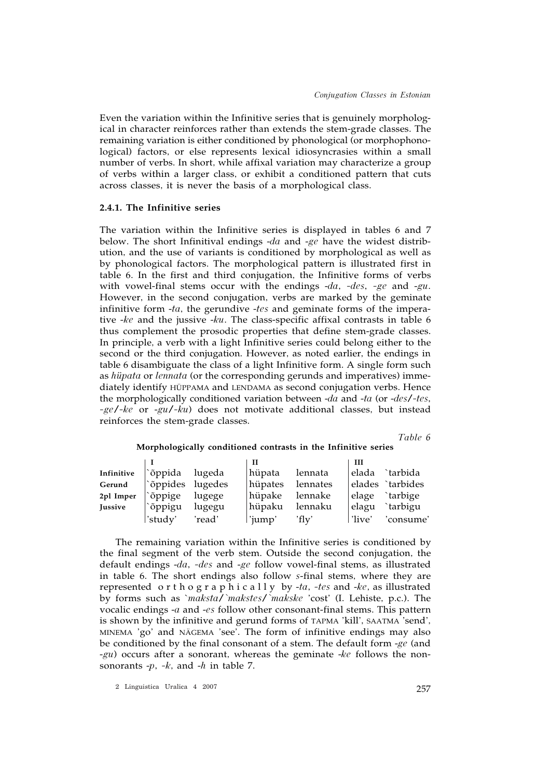Even the variation within the Infinitive series that is genuinely morphological in character reinforces rather than extends the stem-grade classes. The remaining variation is either conditioned by phonological (or morphophonological) factors, or else represents lexical idiosyncrasies within a small number of verbs. In short, while affixal variation may characterize a group of verbs within a larger class, or exhibit a conditioned pattern that cuts across classes, it is never the basis of a morphological class.

## **2.4.1. The Infinitive series**

The variation within the Infinitive series is displayed in tables 6 and 7 below. The short Infinitival endings -*da* and -*ge* have the widest distribution, and the use of variants is conditioned by morphological as well as by phonological factors. The morphological pattern is illustrated first in table 6. In the first and third conjugation, the Infinitive forms of verbs with vowel-final stems occur with the endings -*da*, *-des*, *-ge* and -*gu*. However, in the second conjugation, verbs are marked by the geminate infinitive form -*ta*, the gerundive -*tes* and geminate forms of the imperative -*ke* and the jussive -*ku*. The class-specific affixal contrasts in table 6 thus complement the prosodic properties that define stem-grade classes. In principle, a verb with a light Infinitive series could belong either to the second or the third conjugation. However, as noted earlier, the endings in table 6 disambiguate the class of a light Infinitive form. A single form such as *hüpata* or *lennata* (or the corresponding gerunds and imperatives) immediately identify HÜPPAMA and LENDAMA as second conjugation verbs. Hence the morphologically conditioned variation between -*da* and -*ta* (or -*des*/*-tes*, *-ge*/*-ke* or -*gu*/*-ku*) does not motivate additional classes, but instead reinforces the stem-grade classes.

*Table 6*

|                |                         |        | Н       |          | ш       |                  |
|----------------|-------------------------|--------|---------|----------|---------|------------------|
| Infinitive     | $\delta$ ppida          | lugeda | hüpata  | lennata  |         | elada `tarbida   |
| Gerund         | $\delta$ ppides lugedes |        | hüpates | lennates |         | elades `tarbides |
| 2pl Imper      | `õppige                 | lugege | hüpake  | lennake  |         | elage `tarbige   |
| <b>Jussive</b> | `õppigu                 | lugegu | hüpaku  | lennaku  | elagu   | `tarbigu         |
|                | study'                  | 'read' | iump'   | $'$ flv' | ∍'live' | 'consume'        |

**Morphologically conditioned contrasts in the Infinitive series**

The remaining variation within the Infinitive series is conditioned by the final segment of the verb stem. Outside the second conjugation, the default endings -*da*, *-des* and -*ge* follow vowel-final stems, as illustrated in table 6. The short endings also follow *s*-final stems, where they are represented o r t h o g r a p h i c a l l y by -*ta*, *-tes* and -*ke*, as illustrated by forms such as `*maksta*/*`makstes*/*`makske* 'cost' (I. Lehiste, p.c.). The vocalic endings -*a* and -*es* follow other consonant-final stems. This pattern is shown by the infinitive and gerund forms of TAPMA 'kill', SAATMA 'send', MINEMA 'go' and NÄGEMA 'see'. The form of infinitive endings may also be conditioned by the final consonant of a stem. The default form -*ge* (and -*gu*) occurs after a sonorant, whereas the geminate -*ke* follows the nonsonorants -*p*, *-k*, and -*h* in table 7.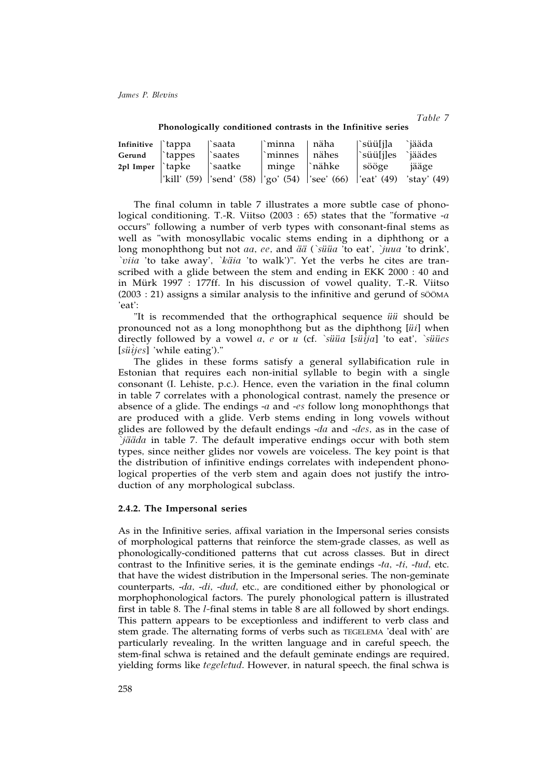*Table 7*

| Infinitive \'tappa        |                     | †`saata                                                     | ∣`minna             | ' näha  | '`süü[j]a  | `jääda      |
|---------------------------|---------------------|-------------------------------------------------------------|---------------------|---------|------------|-------------|
| Gerund                    | tappes <sup>1</sup> | `saates                                                     | minnes <sup>'</sup> | ∣ nähes | ``süü[j]es | `jäädes     |
| $2pl$ Imper $\vert$ tapke |                     | ∣`saatke                                                    | minge `nähke        |         | sööge      | jääge       |
|                           |                     | 'kill' (59)  'send' (58)  'go' (54)  'see' (66)  'eat' (49) |                     |         |            | 'stay' (49) |

**Phonologically conditioned contrasts in the Infinitive series**

The final column in table 7 illustrates a more subtle case of phonological conditioning. T.-R. Viitso (2003 : 65) states that the "formative -*a* occurs" following a number of verb types with consonant-final stems as well as "with monosyllabic vocalic stems ending in a diphthong or a long monophthong but not *aa*, *ee*, and *ää* (*`süüa* 'to eat', *`juua* 'to drink', *`viia* 'to take away', *`käia* 'to walk')". Yet the verbs he cites are transcribed with a glide between the stem and ending in EKK 2000 : 40 and in Mürk 1997 : 177ff. In his discussion of vowel quality, T.-R. Viitso (2003 : 21) assigns a similar analysis to the infinitive and gerund of SÖÖMA 'eat':

"It is recommended that the orthographical sequence *üü* should be pronounced not as a long monophthong but as the diphthong [*üi*] when directly followed by a vowel *a*, *e* or *u* (cf. *`süüa* [*sü^ ija*] 'to eat', *`süües* [*sü^ ijes*] 'while eating')."

The glides in these forms satisfy a general syllabification rule in Estonian that requires each non-initial syllable to begin with a single consonant (I. Lehiste, p.c.). Hence, even the variation in the final column in table 7 correlates with a phonological contrast, namely the presence or absence of a glide. The endings -*a* and -*es* follow long monophthongs that are produced with a glide. Verb stems ending in long vowels without glides are followed by the default endings -*da* and -*des*, as in the case of *`jääda* in table 7. The default imperative endings occur with both stem types, since neither glides nor vowels are voiceless. The key point is that the distribution of infinitive endings correlates with independent phonological properties of the verb stem and again does not justify the introduction of any morphological subclass.

## **2.4.2. The Impersonal series**

As in the Infinitive series, affixal variation in the Impersonal series consists of morphological patterns that reinforce the stem-grade classes, as well as phonologically-conditioned patterns that cut across classes. But in direct contrast to the Infinitive series, it is the geminate endings -*ta*, -*ti*, -*tud*, etc. that have the widest distribution in the Impersonal series. The non-geminate counterparts, -*da*, -*di*, -*dud*, etc., are conditioned either by phonological or morphophonological factors. The purely phonological pattern is illustrated first in table 8. The *l-*final stems in table 8 are all followed by short endings. This pattern appears to be exceptionless and indifferent to verb class and stem grade. The alternating forms of verbs such as TEGELEMA 'deal with' are particularly revealing. In the written language and in careful speech, the stem-final schwa is retained and the default geminate endings are required, yielding forms like *tegeletud*. However, in natural speech, the final schwa is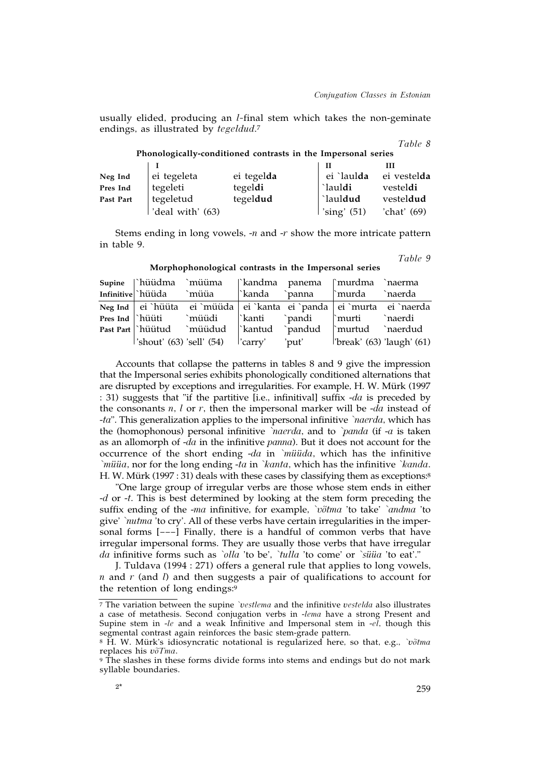usually elided, producing an *l-*final stem which takes the non-geminate endings, as illustrated by *tegeldud*. 7

|                                                               |                  |            |               | ravie o     |  |  |  |  |
|---------------------------------------------------------------|------------------|------------|---------------|-------------|--|--|--|--|
| Phonologically-conditioned contrasts in the Impersonal series |                  |            |               |             |  |  |  |  |
|                                                               |                  |            | Н             | Ш           |  |  |  |  |
| Neg Ind                                                       | ei tegeleta      | ei tegelda | ei `laulda    | ei vestelda |  |  |  |  |
| Pres Ind                                                      | tegeleti         | tegeldi    | `lauldi       | vesteldi    |  |  |  |  |
| Past Part                                                     | tegeletud        | tegeldud   | `lauldud      | vesteldud   |  |  |  |  |
|                                                               | 'deal with' (63) |            | 'sing' $(51)$ | 'chat' (69) |  |  |  |  |

Stems ending in long vowels, -*n* and -*r* show the more intricate pattern in table 9.

*Table 9*

 $T_{11}$   $\alpha$ 

|  | Supine  `hüüdma `müüma  `kandma panema  `murdma `naerma              |  |                             |  |
|--|----------------------------------------------------------------------|--|-----------------------------|--|
|  | Infinitive hüüda `müüa  `kanda `panna  `murda `naerda                |  |                             |  |
|  | Neg Ind ei `hüüta ei `müüda ei `kanta ei `panda ei `murta ei `naerda |  |                             |  |
|  | Pres Ind hüüti `müüdi  `kanti `pandi  `murti `naerdi                 |  |                             |  |
|  | Past Part iulitud `müüdud i\tantud `pandud i\tantud `naerdud         |  |                             |  |
|  | $\vert$ 'shout' (63) 'sell' (54) $\vert$ 'carry' $\vert$ 'put'       |  | $'break'$ (63) 'laugh' (61) |  |

**Morphophonological contrasts in the Impersonal series**

Accounts that collapse the patterns in tables 8 and 9 give the impression that the Impersonal series exhibits phonologically conditioned alternations that are disrupted by exceptions and irregularities. For example, H. W. Mürk (1997 : 31) suggests that "if the partitive [i.e., infinitival] suffix -*da* is preceded by the consonants *n*, *l* or *r*, then the impersonal marker will be -*da* instead of -*ta*". This generalization applies to the impersonal infinitive *`naerda*, which has the (homophonous) personal infinitive *`naerda*, and to *`panda* (if -*a* is taken as an allomorph of -*da* in the infinitive *panna*). But it does not account for the occurrence of the short ending -*da* in *`müüda*, which has the infinitive *`müüa*, nor for the long ending -*ta* in *`kanta*, which has the infinitive *`kanda*. H. W. Mürk (1997 : 31) deals with these cases by classifying them as exceptions:8

"One large group of irregular verbs are those whose stem ends in either -*d* or -*t*. This is best determined by looking at the stem form preceding the suffix ending of the -*ma* infinitive, for example, *`võtma* 'to take' *`andma* 'to give' *`nutma* 'to cry'. All of these verbs have certain irregularities in the impersonal forms [–––] Finally, there is a handful of common verbs that have irregular impersonal forms. They are usually those verbs that have irregular *da* infinitive forms such as *`olla* 'to be', *`tulla* 'to come' or *`süüa* 'to eat'."

J. Tuldava (1994 : 271) offers a general rule that applies to long vowels, *n* and *r* (and *l*) and then suggests a pair of qualifications to account for the retention of long endings:9

<sup>7</sup> The variation between the supine *`vestlema* and the infinitive *vestelda* also illustrates a case of metathesis. Second conjugation verbs in -*lema* have a strong Present and Supine stem in -*le* and a weak Infinitive and Impersonal stem in -*el*, though this segmental contrast again reinforces the basic stem-grade pattern.

<sup>8</sup> H. W. Mürk's idiosyncratic notational is regularized here, so that, e.g., *`võtma* replaces his *võTma*.

<sup>&</sup>lt;sup>9</sup> The slashes in these forms divide forms into stems and endings but do not mark syllable boundaries.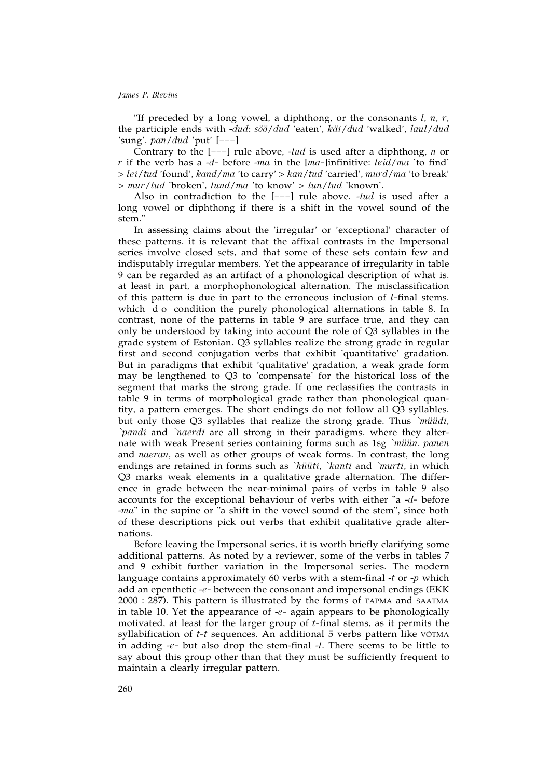"If preceded by a long vowel, a diphthong, or the consonants *l*, *n*, *r*, the participle ends with -*dud*: *söö*/*dud* 'eaten', *käi*/*dud* 'walked', *laul*/*dud* 'sung', *pan*/*dud* 'put' [–––]

Contrary to the [–––] rule above, -*tud* is used after a diphthong, *n* or *r* if the verb has a -*d-* before -*ma* in the [*ma-*]infinitive: *leid*/*ma* 'to find' > *lei*/*tud* 'found', *kand*/*ma* 'to carry' > *kan*/*tud* 'carried', *murd*/*ma* 'to break' > *mur*/*tud* 'broken', *tund*/*ma* 'to know' > *tun*/*tud* 'known'.

Also in contradiction to the [–––] rule above, -*tud* is used after a long vowel or diphthong if there is a shift in the vowel sound of the stem."

In assessing claims about the 'irregular' or 'exceptional' character of these patterns, it is relevant that the affixal contrasts in the Impersonal series involve closed sets, and that some of these sets contain few and indisputably irregular members. Yet the appearance of irregularity in table 9 can be regarded as an artifact of a phonological description of what is, at least in part, a morphophonological alternation. The misclassification of this pattern is due in part to the erroneous inclusion of *l-*final stems, which d o condition the purely phonological alternations in table 8. In contrast, none of the patterns in table 9 are surface true, and they can only be understood by taking into account the role of Q3 syllables in the grade system of Estonian. Q3 syllables realize the strong grade in regular first and second conjugation verbs that exhibit 'quantitative' gradation. But in paradigms that exhibit 'qualitative' gradation, a weak grade form may be lengthened to Q3 to 'compensate' for the historical loss of the segment that marks the strong grade. If one reclassifies the contrasts in table 9 in terms of morphological grade rather than phonological quantity, a pattern emerges. The short endings do not follow all Q3 syllables, but only those Q3 syllables that realize the strong grade. Thus *`müüdi*, *`pandi* and *`naerdi* are all strong in their paradigms, where they alternate with weak Present series containing forms such as 1sg *`müün*, *panen* and *naeran*, as well as other groups of weak forms. In contrast, the long endings are retained in forms such as *`hüüti*, *`kanti* and *`murti*, in which Q3 marks weak elements in a qualitative grade alternation. The difference in grade between the near-minimal pairs of verbs in table 9 also accounts for the exceptional behaviour of verbs with either "a -*d-* before -*ma*" in the supine or "a shift in the vowel sound of the stem", since both of these descriptions pick out verbs that exhibit qualitative grade alternations.

Before leaving the Impersonal series, it is worth briefly clarifying some additional patterns. As noted by a reviewer, some of the verbs in tables 7 and 9 exhibit further variation in the Impersonal series. The modern language contains approximately 60 verbs with a stem-final -*t* or -*p* which add an epenthetic -*e-* between the consonant and impersonal endings (EKK 2000 : 287). This pattern is illustrated by the forms of TAPMA and SAATMA in table 10. Yet the appearance of -*e-* again appears to be phonologically motivated, at least for the larger group of *t-*final stems, as it permits the syllabification of *t-t* sequences. An additional 5 verbs pattern like VÕTMA in adding -*e-* but also drop the stem-final -*t*. There seems to be little to say about this group other than that they must be sufficiently frequent to maintain a clearly irregular pattern.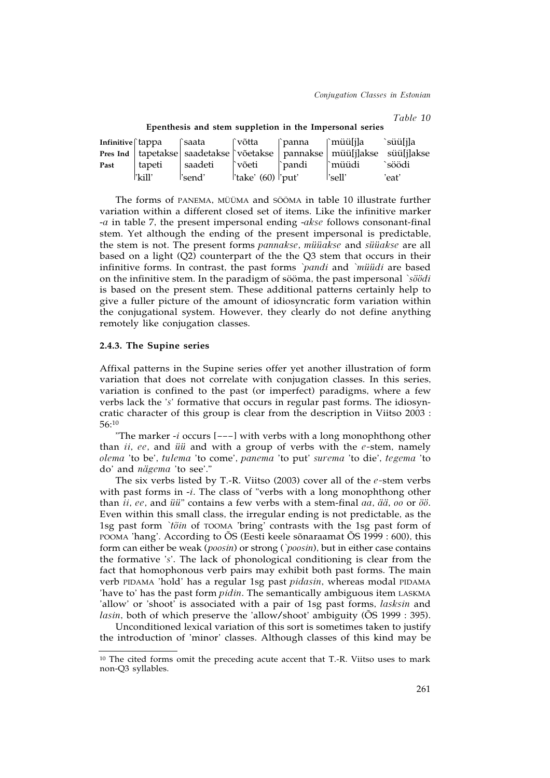*Conjugation Classes in Estonian*

*Table 10*

|      |        |                           |                     | Infinitive   tappa   saata   võtta   panna   müü[j]a süü[j]a                    |        |
|------|--------|---------------------------|---------------------|---------------------------------------------------------------------------------|--------|
|      |        |                           |                     | Pres Ind   tapetakse   saadetakse   võetakse   pannakse   müü[j]akse süü[j]akse |        |
| Past | tapeti | saadeti    võeti    pandi |                     | ∣`müüdi                                                                         | `söödi |
|      | 'kill' | 'send'                    | 'take' $(60)$ 'put' | 'sell'                                                                          | 'eat'  |

**Epenthesis and stem suppletion in the Impersonal series**

The forms of PANEMA, MÜÜMA and SÖÖMA in table 10 illustrate further variation within a different closed set of items. Like the infinitive marker -*a* in table 7, the present impersonal ending -*akse* follows consonant-final stem. Yet although the ending of the present impersonal is predictable, the stem is not. The present forms *pannakse*, *müüakse* and *süüakse* are all based on a light  $(Q2)$  counterpart of the the  $Q3$  stem that occurs in their infinitive forms. In contrast, the past forms *`pandi* and *`müüdi* are based on the infinitive stem. In the paradigm of sööma, the past impersonal *`söödi* is based on the present stem. These additional patterns certainly help to give a fuller picture of the amount of idiosyncratic form variation within the conjugational system. However, they clearly do not define anything remotely like conjugation classes.

### **2.4.3. The Supine series**

Affixal patterns in the Supine series offer yet another illustration of form variation that does not correlate with conjugation classes. In this series, variation is confined to the past (or imperfect) paradigms, where a few verbs lack the '*s*' formative that occurs in regular past forms. The idiosyncratic character of this group is clear from the description in Viitso 2003 : 56:10

"The marker -*i* occurs [–––] with verbs with a long monophthong other than *ii*, *ee*, and *üü* and with a group of verbs with the *e-*stem, namely *olema* 'to be', *tulema* 'to come', *panema* 'to put' *surema* 'to die', *tegema* 'to do' and *nägema* 'to see'."

The six verbs listed by T.-R. Viitso (2003) cover all of the *e-*stem verbs with past forms in -*i*. The class of "verbs with a long monophthong other than *ii*, *ee*, and *üü*" contains a few verbs with a stem-final *aa*, *ää*, *oo* or *öö*. Even within this small class, the irregular ending is not predictable, as the 1sg past form *`tõin* of TOOMA 'bring' contrasts with the 1sg past form of POOMA 'hang'. According to ÕS (Eesti keele sõnaraamat ÕS 1999 : 600), this form can either be weak (*poosin*) or strong (*`poosin*), but in either case contains the formative '*s*'. The lack of phonological conditioning is clear from the fact that homophonous verb pairs may exhibit both past forms. The main verb PIDAMA 'hold' has a regular 1sg past *pidasin*, whereas modal PIDAMA 'have to' has the past form *pidin*. The semantically ambiguous item LASKMA 'allow' or 'shoot' is associated with a pair of 1sg past forms, *lasksin* and *lasin*, both of which preserve the 'allow/shoot' ambiguity ( $\tilde{O}S$  1999 : 395).

Unconditioned lexical variation of this sort is sometimes taken to justify the introduction of 'minor' classes. Although classes of this kind may be

<sup>10</sup> The cited forms omit the preceding acute accent that T.-R. Viitso uses to mark non-Q3 syllables.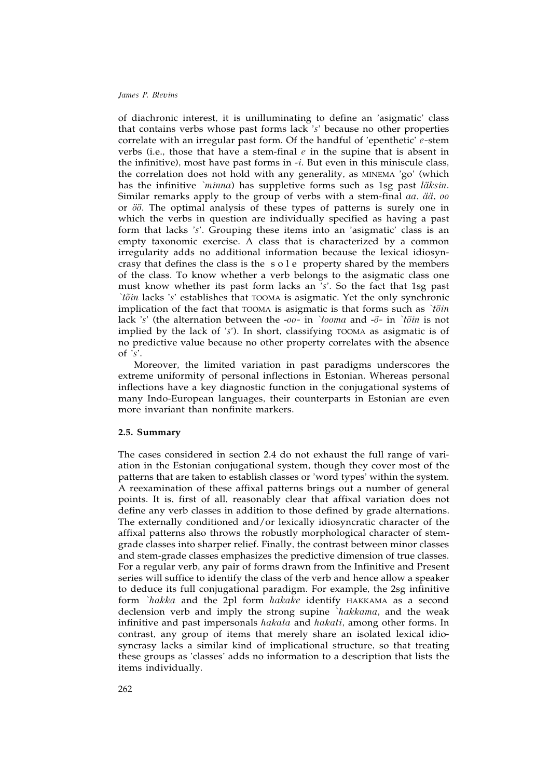of diachronic interest, it is unilluminating to define an 'asigmatic' class that contains verbs whose past forms lack '*s*' because no other properties correlate with an irregular past form. Of the handful of 'epenthetic' *e-*stem verbs (i.e., those that have a stem-final *e* in the supine that is absent in the infinitive), most have past forms in -*i*. But even in this miniscule class, the correlation does not hold with any generality, as MINEMA 'go' (which has the infinitive *`minna*) has suppletive forms such as 1sg past *läksin*. Similar remarks apply to the group of verbs with a stem-final *aa*, *ää*, *oo* or *öö*. The optimal analysis of these types of patterns is surely one in which the verbs in question are individually specified as having a past form that lacks '*s*'. Grouping these items into an 'asigmatic' class is an empty taxonomic exercise. A class that is characterized by a common irregularity adds no additional information because the lexical idiosyncrasy that defines the class is the sole property shared by the members of the class. To know whether a verb belongs to the asigmatic class one must know whether its past form lacks an '*s*'. So the fact that 1sg past *`tõin* lacks '*s*' establishes that TOOMA is asigmatic. Yet the only synchronic implication of the fact that TOOMA is asigmatic is that forms such as *`tõin* lack '*s*' (the alternation between the -*oo-* in *`tooma* and -*õ-* in *`tõin* is not implied by the lack of '*s*'). In short, classifying TOOMA as asigmatic is of no predictive value because no other property correlates with the absence of '*s*'.

Moreover, the limited variation in past paradigms underscores the extreme uniformity of personal inflections in Estonian. Whereas personal inflections have a key diagnostic function in the conjugational systems of many Indo-European languages, their counterparts in Estonian are even more invariant than nonfinite markers.

#### **2.5. Summary**

The cases considered in section 2.4 do not exhaust the full range of variation in the Estonian conjugational system, though they cover most of the patterns that are taken to establish classes or 'word types' within the system. A reexamination of these affixal patterns brings out a number of general points. It is, first of all, reasonably clear that affixal variation does not define any verb classes in addition to those defined by grade alternations. The externally conditioned and/or lexically idiosyncratic character of the affixal patterns also throws the robustly morphological character of stemgrade classes into sharper relief. Finally, the contrast between minor classes and stem-grade classes emphasizes the predictive dimension of true classes. For a regular verb, any pair of forms drawn from the Infinitive and Present series will suffice to identify the class of the verb and hence allow a speaker to deduce its full conjugational paradigm. For example, the 2sg infinitive form *`hakka* and the 2pl form *hakake* identify HAKKAMA as a second declension verb and imply the strong supine *`hakkama*, and the weak infinitive and past impersonals *hakata* and *hakati*, among other forms. In contrast, any group of items that merely share an isolated lexical idiosyncrasy lacks a similar kind of implicational structure, so that treating these groups as 'classes' adds no information to a description that lists the items individually.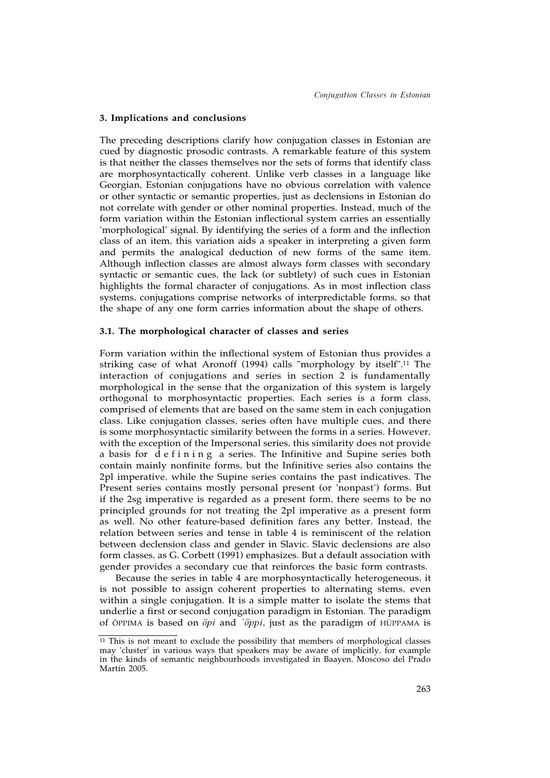### **3. Implications and conclusions**

The preceding descriptions clarify how conjugation classes in Estonian are cued by diagnostic prosodic contrasts. A remarkable feature of this system is that neither the classes themselves nor the sets of forms that identify class are morphosyntactically coherent. Unlike verb classes in a language like Georgian, Estonian conjugations have no obvious correlation with valence or other syntactic or semantic properties, just as declensions in Estonian do not correlate with gender or other nominal properties. Instead, much of the form variation within the Estonian inflectional system carries an essentially 'morphological' signal. By identifying the series of a form and the inflection class of an item, this variation aids a speaker in interpreting a given form and permits the analogical deduction of new forms of the same item. Although inflection classes are almost always form classes with secondary syntactic or semantic cues, the lack (or subtlety) of such cues in Estonian highlights the formal character of conjugations. As in most inflection class systems, conjugations comprise networks of interpredictable forms, so that the shape of any one form carries information about the shape of others.

### **3.1. The morphological character of classes and series**

Form variation within the inflectional system of Estonian thus provides a striking case of what Aronoff (1994) calls "morphology by itself".11 The interaction of conjugations and series in section 2 is fundamentally morphological in the sense that the organization of this system is largely orthogonal to morphosyntactic properties. Each series is a form class, comprised of elements that are based on the same stem in each conjugation class. Like conjugation classes, series often have multiple cues, and there is some morphosyntactic similarity between the forms in a series. However, with the exception of the Impersonal series, this similarity does not provide a basis for defining a series. The Infinitive and Supine series both contain mainly nonfinite forms, but the Infinitive series also contains the 2pl imperative, while the Supine series contains the past indicatives. The Present series contains mostly personal present (or 'nonpast') forms. But if the 2sg imperative is regarded as a present form, there seems to be no principled grounds for not treating the 2pl imperative as a present form as well. No other feature-based definition fares any better. Instead, the relation between series and tense in table 4 is reminiscent of the relation between declension class and gender in Slavic. Slavic declensions are also form classes, as G. Corbett (1991) emphasizes. But a default association with gender provides a secondary cue that reinforces the basic form contrasts.

Because the series in table 4 are morphosyntactically heterogeneous, it is not possible to assign coherent properties to alternating stems, even within a single conjugation. It is a simple matter to isolate the stems that underlie a first or second conjugation paradigm in Estonian. The paradigm of ÕPPIMA is based on *õpi* and *`õppi*, just as the paradigm of HÜPPAMA is

 $\overline{11}$  This is not meant to exclude the possibility that members of morphological classes may 'cluster' in various ways that speakers may be aware of implicitly, for example in the kinds of semantic neighbourhoods investigated in Baayen, Moscoso del Prado Martín 2005.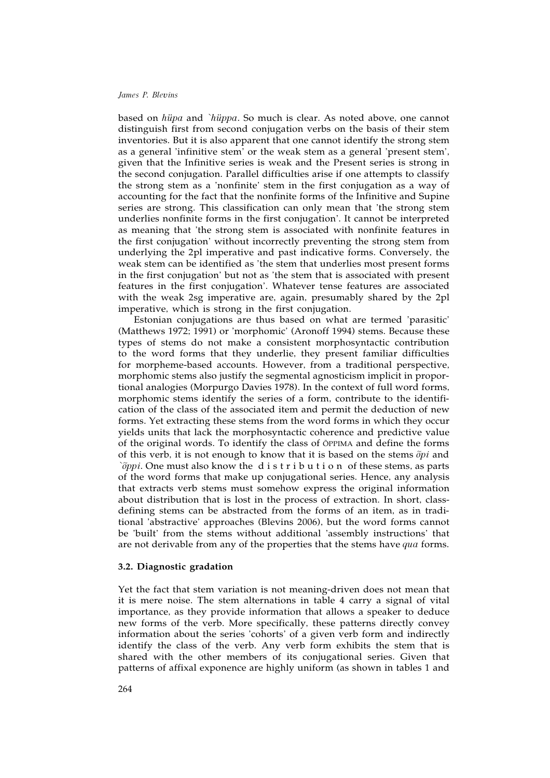based on *hüpa* and *`hüppa*. So much is clear. As noted above, one cannot distinguish first from second conjugation verbs on the basis of their stem inventories. But it is also apparent that one cannot identify the strong stem as a general 'infinitive stem' or the weak stem as a general 'present stem', given that the Infinitive series is weak and the Present series is strong in the second conjugation. Parallel difficulties arise if one attempts to classify the strong stem as a 'nonfinite' stem in the first conjugation as a way of accounting for the fact that the nonfinite forms of the Infinitive and Supine series are strong. This classification can only mean that 'the strong stem underlies nonfinite forms in the first conjugation'. It cannot be interpreted as meaning that 'the strong stem is associated with nonfinite features in the first conjugation' without incorrectly preventing the strong stem from underlying the 2pl imperative and past indicative forms. Conversely, the weak stem can be identified as 'the stem that underlies most present forms in the first conjugation' but not as 'the stem that is associated with present features in the first conjugation'. Whatever tense features are associated with the weak 2sg imperative are, again, presumably shared by the 2pl imperative, which is strong in the first conjugation.

Estonian conjugations are thus based on what are termed 'parasitic' (Matthews 1972; 1991) or 'morphomic' (Aronoff 1994) stems. Because these types of stems do not make a consistent morphosyntactic contribution to the word forms that they underlie, they present familiar difficulties for morpheme-based accounts. However, from a traditional perspective, morphomic stems also justify the segmental agnosticism implicit in proportional analogies (Morpurgo Davies 1978). In the context of full word forms, morphomic stems identify the series of a form, contribute to the identification of the class of the associated item and permit the deduction of new forms. Yet extracting these stems from the word forms in which they occur yields units that lack the morphosyntactic coherence and predictive value of the original words. To identify the class of ÕPPIMA and define the forms of this verb, it is not enough to know that it is based on the stems *õpi* and *`õppi*. One must also know the d i s t r i b u t i o n of these stems, as parts of the word forms that make up conjugational series. Hence, any analysis that extracts verb stems must somehow express the original information about distribution that is lost in the process of extraction. In short, classdefining stems can be abstracted from the forms of an item, as in traditional 'abstractive' approaches (Blevins 2006), but the word forms cannot be 'built' from the stems without additional 'assembly instructions' that are not derivable from any of the properties that the stems have *qua* forms.

### **3.2. Diagnostic gradation**

Yet the fact that stem variation is not meaning-driven does not mean that it is mere noise. The stem alternations in table 4 carry a signal of vital importance, as they provide information that allows a speaker to deduce new forms of the verb. More specifically, these patterns directly convey information about the series 'cohorts' of a given verb form and indirectly identify the class of the verb. Any verb form exhibits the stem that is shared with the other members of its conjugational series. Given that patterns of affixal exponence are highly uniform (as shown in tables 1 and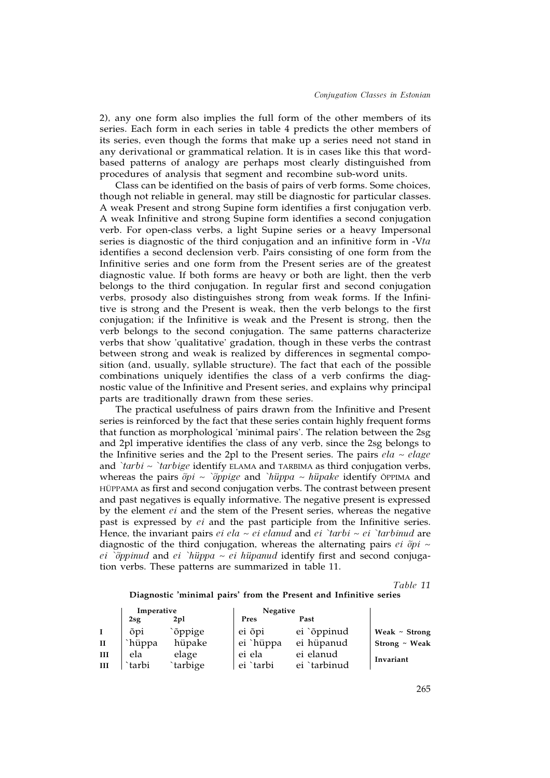2), any one form also implies the full form of the other members of its series. Each form in each series in table 4 predicts the other members of its series, even though the forms that make up a series need not stand in any derivational or grammatical relation. It is in cases like this that wordbased patterns of analogy are perhaps most clearly distinguished from procedures of analysis that segment and recombine sub-word units.

Class can be identified on the basis of pairs of verb forms. Some choices, though not reliable in general, may still be diagnostic for particular classes. A weak Present and strong Supine form identifies a first conjugation verb. A weak Infinitive and strong Supine form identifies a second conjugation verb. For open-class verbs, a light Supine series or a heavy Impersonal series is diagnostic of the third conjugation and an infinitive form in -V*ta* identifies a second declension verb. Pairs consisting of one form from the Infinitive series and one form from the Present series are of the greatest diagnostic value. If both forms are heavy or both are light, then the verb belongs to the third conjugation. In regular first and second conjugation verbs, prosody also distinguishes strong from weak forms. If the Infinitive is strong and the Present is weak, then the verb belongs to the first conjugation; if the Infinitive is weak and the Present is strong, then the verb belongs to the second conjugation. The same patterns characterize verbs that show 'qualitative' gradation, though in these verbs the contrast between strong and weak is realized by differences in segmental composition (and, usually, syllable structure). The fact that each of the possible combinations uniquely identifies the class of a verb confirms the diagnostic value of the Infinitive and Present series, and explains why principal parts are traditionally drawn from these series.

The practical usefulness of pairs drawn from the Infinitive and Present series is reinforced by the fact that these series contain highly frequent forms that function as morphological 'minimal pairs'. The relation between the 2sg and 2pl imperative identifies the class of any verb, since the 2sg belongs to the Infinitive series and the 2pl to the Present series. The pairs  $ela \sim elage$ and *`tarbi*  $\sim$  *`tarbige* identify ELAMA and TARBIMA as third conjugation verbs, whereas the pairs *õpi* ~ *`õppige* and *`hüppa* ~ *hüpake* identify ÕPPIMA and HÜPPAMA as first and second conjugation verbs. The contrast between present and past negatives is equally informative. The negative present is expressed by the element *ei* and the stem of the Present series, whereas the negative past is expressed by *ei* and the past participle from the Infinitive series. Hence, the invariant pairs  $ei$   $ela \sim ei$   $eland$  and  $ei$   $\check{a}$   $t$ *arbi* $\sim ei$   $\check{a}$ *rarbinud* are diagnostic of the third conjugation, whereas the alternating pairs *ei õpi* ~ *ei `õppinud* and *ei `hüppa* ~ *ei hüpanud* identify first and second conjugation verbs. These patterns are summarized in table 11.

*Table 11*

#### **Diagnostic 'minimal pairs' from the Present and Infinitive series**

|              | Imperative |                 | Negative  |              |                    |
|--------------|------------|-----------------|-----------|--------------|--------------------|
|              | $2$ sg     | 2 <sub>pl</sub> | Pres      | Past         |                    |
| $\bf{I}$     | õpi        | `õppige         | ei õpi    | ei `õppinud  | Weak $\sim$ Strong |
| $\mathbf{I}$ | `hüppa     | hüpake          | ei `hüppa | ei hüpanud   | Strong ~ Weak      |
| Ш            | ela        | elage           | ei ela    | ei elanud    | Invariant          |
| Ш            | `tarbi     | `tarbige        | ei `tarbi | ei `tarbinud |                    |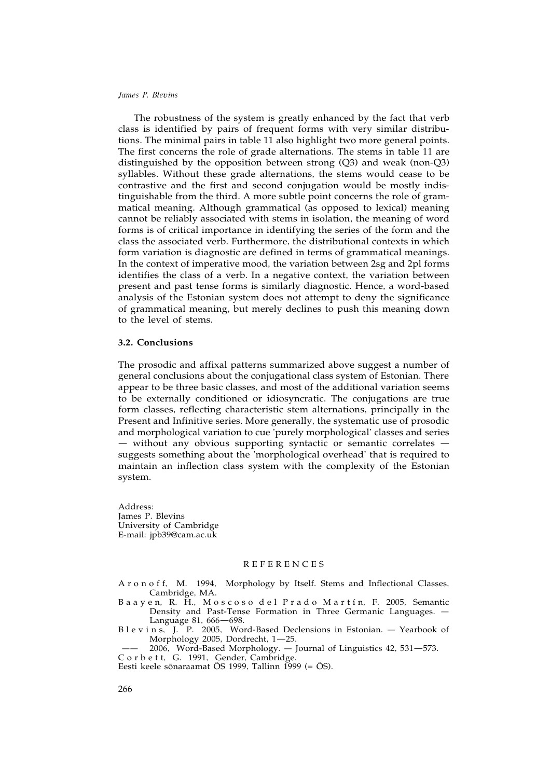The robustness of the system is greatly enhanced by the fact that verb class is identified by pairs of frequent forms with very similar distributions. The minimal pairs in table 11 also highlight two more general points. The first concerns the role of grade alternations. The stems in table 11 are distinguished by the opposition between strong (Q3) and weak (non-Q3) syllables. Without these grade alternations, the stems would cease to be contrastive and the first and second conjugation would be mostly indistinguishable from the third. A more subtle point concerns the role of grammatical meaning. Although grammatical (as opposed to lexical) meaning cannot be reliably associated with stems in isolation, the meaning of word forms is of critical importance in identifying the series of the form and the class the associated verb. Furthermore, the distributional contexts in which form variation is diagnostic are defined in terms of grammatical meanings. In the context of imperative mood, the variation between 2sg and 2pl forms identifies the class of a verb. In a negative context, the variation between present and past tense forms is similarly diagnostic. Hence, a word-based analysis of the Estonian system does not attempt to deny the significance of grammatical meaning, but merely declines to push this meaning down to the level of stems.

## **3.2. Conclusions**

The prosodic and affixal patterns summarized above suggest a number of general conclusions about the conjugational class system of Estonian. There appear to be three basic classes, and most of the additional variation seems to be externally conditioned or idiosyncratic. The conjugations are true form classes, reflecting characteristic stem alternations, principally in the Present and Infinitive series. More generally, the systematic use of prosodic and morphological variation to cue 'purely morphological' classes and series — without any obvious supporting syntactic or semantic correlates suggests something about the 'morphological overhead' that is required to maintain an inflection class system with the complexity of the Estonian system.

Address: James P. Blevins University of Cambridge E-mail: jpb39@cam.ac.uk

## REFERENCES

A r o n o f f, M. 1994, Morphology by Itself. Stems and Inflectional Classes, Cambridge, MA.

- B a a y e n, R. H., M o s c o s o d e l P r a d o M a r t í n, F. 2005, Semantic Density and Past-Tense Formation in Three Germanic Languages. Language 81, 666—698.
- B l e v i n s, J. P. 2005, Word-Based Declensions in Estonian. Yearbook of Morphology 2005, Dordrecht, 1—25.
- —— 2006, Word-Based Morphology. Journal of Linguistics 42, 531—573. C o r b e t t, G. 1991, Gender, Cambridge.
- Eesti keele sõnaraamat ÕS 1999, Tallinn 1999 (= ÕS).